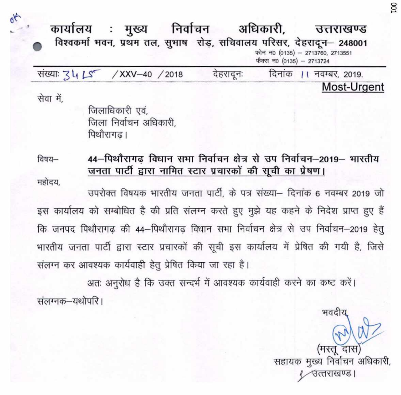कार्यालय : मुख्य निर्वाचन अधिकारी. उत्तराखण्ड विश्वकर्मा भवन, प्रथम तल, सुभाष रोड़, सचिवालय परिसर, देहरादून- 248001 फोन न0 (0135) - 2713760, 2713551 फैक्स न0 (0135) - 2713724 संख्याः 34 LS / XXV-40 / 2018 देहरादनः दिनांक ।। नवम्बर, 2019. Most-Urgent सेवा में. जिलाधिकारी एवं. जिला निर्वाचन अधिकारी. पिथौरागढ। 44-पिथौरागढ विधान सभा निर्वाचन क्षेत्र से उप निर्वाचन-2019- भारतीय विषय– जनता पार्टी द्वारा नामित स्टार प्रचारकों की सूची का प्रेषण।

महोदय,

 $a^{k}$ 

उपरोक्त विषयक भारतीय जनता पार्टी. के पत्र संख्या– दिनांक 6 नवम्बर 2019 जो इस कार्यालय को सम्बोधित है की प्रति संलग्न करते हुए मुझे यह कहने के निदेश प्राप्त हुए हैं कि जनपद पिथौरागढ़ की 44-पिथौरागढ़ विधान सभा निर्वाचन क्षेत्र से उप निर्वाचन-2019 हेतु भारतीय जनता पार्टी द्वारा स्टार प्रचारकों की सूची इस कार्यालय में प्रेषित की गयी है, जिसे संलग्न कर आवश्यक कार्यवाही हेतु प्रेषित किया जा रहा है।

अतः अनुरोध है कि उक्त सन्दर्भ में आवश्यक कार्यवाही करने का कष्ट करें।

संलग्नक–यथोपरि ।

सहायक मुख्य निर्वाचन अधिकारी, उत्तराखण्ड।

भवदीर

CO<sub>1</sub>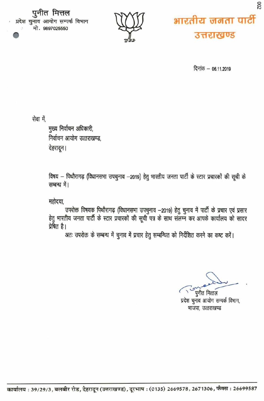पुनीत मित्तल प्रदेश चुनाव आयोग सम्पर्क विभाग मो. 9897025550





दिनांक - 06.11.2019

सेवा में.

मुख्य निर्वाचन अधिकारी, निर्वाचन आयोग उत्तराखण्ड, देहरादून।

विषय - पिथौरागढ़ (विधानसभा उपचुनाव -2019) हेतु भारतीय जनता पार्टी के स्टार प्रचारकों की सूची के सम्बन्ध में।

महोदया,

उपरोक्त विषयक पिथौरागढ़ (विधानसभा उपचुनाव -2019) हेतु चुनाव में पार्टी के प्रचार एवं प्रसार हेतु भारतीय जनता पार्टी के स्टार प्रचारकों की सूची पत्र के साथ संलग्न कर आपके कार्यालय को सादर प्रेषित है।

अतः उपरोक्त के सम्बन्ध में चुनाव में प्रचार हेतु सम्बन्धित को निर्देशित करने का कष्ट करें।

पुनीत मित्तल

प्रदेश चुनाव आयोग सम्पर्क विभाग, भाजपा, उत्तराखण्ड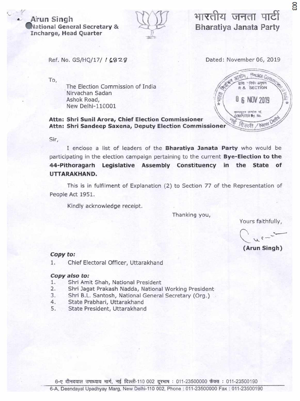## **Arun Singh ational General Secretary** & **Incharge, Head Quarter**



# **-TPUcTh-I 'l'ic11 iI1 Bharatiya Janata Party**

ember 06,<br>
Altra Secrior<br>
R & Secrior<br>
B NOV 201<br>
The Secrior<br>
B NOV 201<br>
The Secrior<br>
R Cool / Nev

500

**COMPUTER By. No.** -क्रमांक पा.<br>ER #y. No.<br>नशी / NeW

Ref. No. GS/HQ/17/ / 6828

To,

The Election Commission of India R & SECTION Nirvachan Sadan Ashok Road,  $\mathbb{F}$  as  $\mathbb{F}$  6 NOV 2019 New Delhi-110001

**Attn: Shri Sunil Arora, Chief Election Commissioner Attn: Shri Sandeep Saxena, Deputy Election Commissioner**   $\bigwedge_*$ 

Sir,

I enclose a list of leaders of the **Bharatiya 3anata Party** who would be participating in the election campaign pertaining to the current **Bye-Election to the 44-Pithoragarh Legislative Assembly Constituency in the State of**  UTTARAKHAND.

This is in fulfilment of Explanation (2) to Section 77 of the Representation of People Act 1951.

Kindly acknowledge receipt.

Thanking you,

Yours faithfully,

**(Arun Singh)** 

### **Copy to:**

1. Chief Electoral Officer, Uttarakhand

#### **Copy also to:**

- 1. Shri Amit Shah, National President
- 2. Shri Jagat Prakash Nadda, National Working President
- 3. Shri B.L. Santosh, National General Secretary (Org.)
- 4. State Prabhari, Uttarakhand
- 5. State President, Uttarakhand

6-ए दीनदयाल उपाध्याय मार्ग, नई दिल्ली-110 002 दूरभाष : 011-23500000 फैक्स : 011-23500190